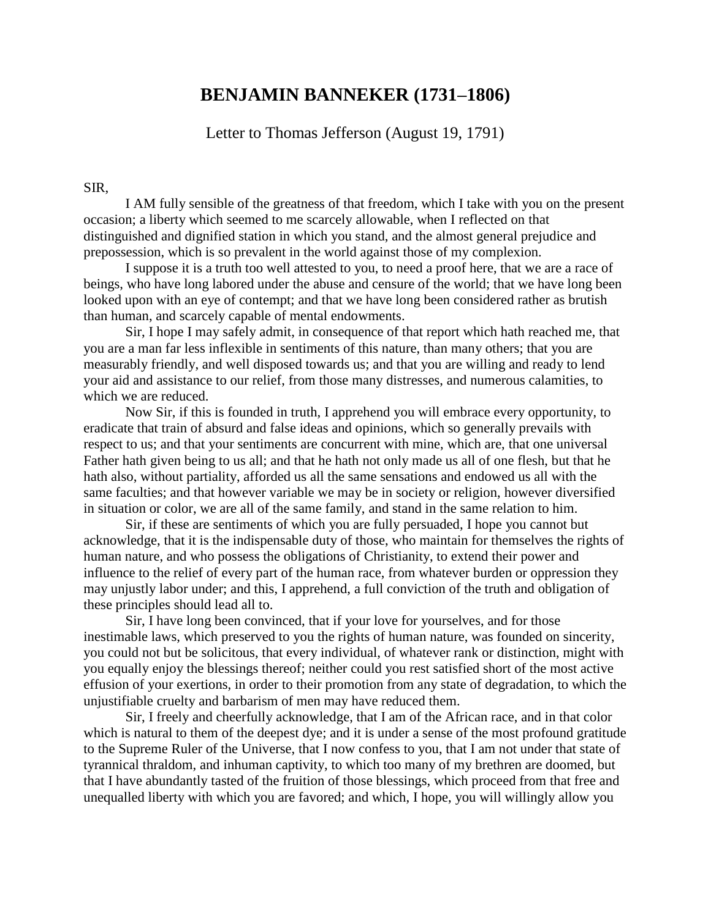## **BENJAMIN BANNEKER (1731–1806)**

Letter to Thomas Jefferson (August 19, 1791)

## SIR,

I AM fully sensible of the greatness of that freedom, which I take with you on the present occasion; a liberty which seemed to me scarcely allowable, when I reflected on that distinguished and dignified station in which you stand, and the almost general prejudice and prepossession, which is so prevalent in the world against those of my complexion.

I suppose it is a truth too well attested to you, to need a proof here, that we are a race of beings, who have long labored under the abuse and censure of the world; that we have long been looked upon with an eye of contempt; and that we have long been considered rather as brutish than human, and scarcely capable of mental endowments.

Sir, I hope I may safely admit, in consequence of that report which hath reached me, that you are a man far less inflexible in sentiments of this nature, than many others; that you are measurably friendly, and well disposed towards us; and that you are willing and ready to lend your aid and assistance to our relief, from those many distresses, and numerous calamities, to which we are reduced.

Now Sir, if this is founded in truth, I apprehend you will embrace every opportunity, to eradicate that train of absurd and false ideas and opinions, which so generally prevails with respect to us; and that your sentiments are concurrent with mine, which are, that one universal Father hath given being to us all; and that he hath not only made us all of one flesh, but that he hath also, without partiality, afforded us all the same sensations and endowed us all with the same faculties; and that however variable we may be in society or religion, however diversified in situation or color, we are all of the same family, and stand in the same relation to him.

Sir, if these are sentiments of which you are fully persuaded, I hope you cannot but acknowledge, that it is the indispensable duty of those, who maintain for themselves the rights of human nature, and who possess the obligations of Christianity, to extend their power and influence to the relief of every part of the human race, from whatever burden or oppression they may unjustly labor under; and this, I apprehend, a full conviction of the truth and obligation of these principles should lead all to.

Sir, I have long been convinced, that if your love for yourselves, and for those inestimable laws, which preserved to you the rights of human nature, was founded on sincerity, you could not but be solicitous, that every individual, of whatever rank or distinction, might with you equally enjoy the blessings thereof; neither could you rest satisfied short of the most active effusion of your exertions, in order to their promotion from any state of degradation, to which the unjustifiable cruelty and barbarism of men may have reduced them.

Sir, I freely and cheerfully acknowledge, that I am of the African race, and in that color which is natural to them of the deepest dye; and it is under a sense of the most profound gratitude to the Supreme Ruler of the Universe, that I now confess to you, that I am not under that state of tyrannical thraldom, and inhuman captivity, to which too many of my brethren are doomed, but that I have abundantly tasted of the fruition of those blessings, which proceed from that free and unequalled liberty with which you are favored; and which, I hope, you will willingly allow you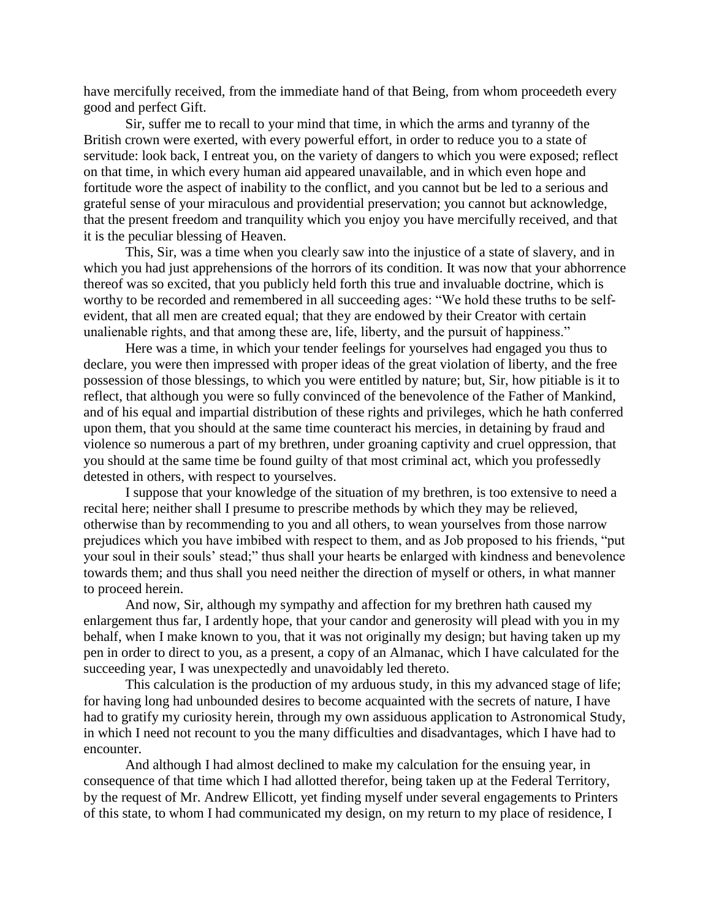have mercifully received, from the immediate hand of that Being, from whom proceedeth every good and perfect Gift.

Sir, suffer me to recall to your mind that time, in which the arms and tyranny of the British crown were exerted, with every powerful effort, in order to reduce you to a state of servitude: look back, I entreat you, on the variety of dangers to which you were exposed; reflect on that time, in which every human aid appeared unavailable, and in which even hope and fortitude wore the aspect of inability to the conflict, and you cannot but be led to a serious and grateful sense of your miraculous and providential preservation; you cannot but acknowledge, that the present freedom and tranquility which you enjoy you have mercifully received, and that it is the peculiar blessing of Heaven.

This, Sir, was a time when you clearly saw into the injustice of a state of slavery, and in which you had just apprehensions of the horrors of its condition. It was now that your abhorrence thereof was so excited, that you publicly held forth this true and invaluable doctrine, which is worthy to be recorded and remembered in all succeeding ages: "We hold these truths to be selfevident, that all men are created equal; that they are endowed by their Creator with certain unalienable rights, and that among these are, life, liberty, and the pursuit of happiness."

Here was a time, in which your tender feelings for yourselves had engaged you thus to declare, you were then impressed with proper ideas of the great violation of liberty, and the free possession of those blessings, to which you were entitled by nature; but, Sir, how pitiable is it to reflect, that although you were so fully convinced of the benevolence of the Father of Mankind, and of his equal and impartial distribution of these rights and privileges, which he hath conferred upon them, that you should at the same time counteract his mercies, in detaining by fraud and violence so numerous a part of my brethren, under groaning captivity and cruel oppression, that you should at the same time be found guilty of that most criminal act, which you professedly detested in others, with respect to yourselves.

I suppose that your knowledge of the situation of my brethren, is too extensive to need a recital here; neither shall I presume to prescribe methods by which they may be relieved, otherwise than by recommending to you and all others, to wean yourselves from those narrow prejudices which you have imbibed with respect to them, and as Job proposed to his friends, "put your soul in their souls' stead;" thus shall your hearts be enlarged with kindness and benevolence towards them; and thus shall you need neither the direction of myself or others, in what manner to proceed herein.

And now, Sir, although my sympathy and affection for my brethren hath caused my enlargement thus far, I ardently hope, that your candor and generosity will plead with you in my behalf, when I make known to you, that it was not originally my design; but having taken up my pen in order to direct to you, as a present, a copy of an Almanac, which I have calculated for the succeeding year, I was unexpectedly and unavoidably led thereto.

This calculation is the production of my arduous study, in this my advanced stage of life; for having long had unbounded desires to become acquainted with the secrets of nature, I have had to gratify my curiosity herein, through my own assiduous application to Astronomical Study, in which I need not recount to you the many difficulties and disadvantages, which I have had to encounter.

And although I had almost declined to make my calculation for the ensuing year, in consequence of that time which I had allotted therefor, being taken up at the Federal Territory, by the request of Mr. Andrew Ellicott, yet finding myself under several engagements to Printers of this state, to whom I had communicated my design, on my return to my place of residence, I